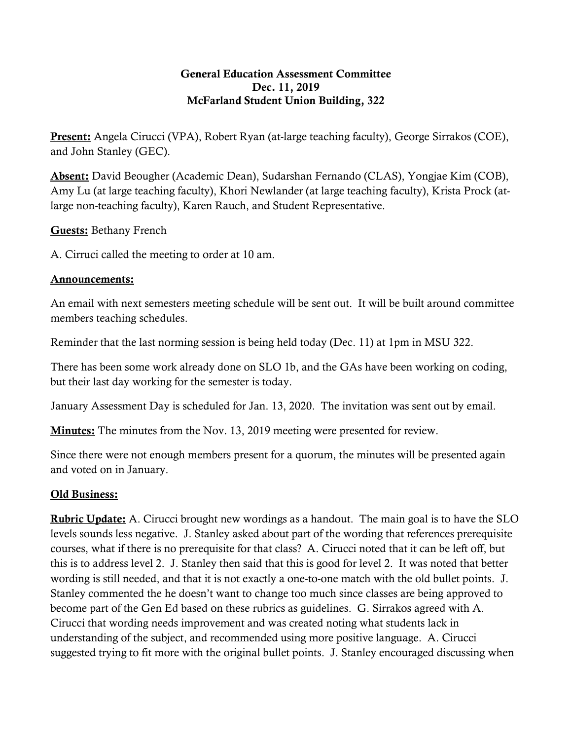## General Education Assessment Committee Dec. 11, 2019 McFarland Student Union Building, 322

**Present:** Angela Cirucci (VPA), Robert Ryan (at-large teaching faculty), George Sirrakos (COE), and John Stanley (GEC).

Absent: David Beougher (Academic Dean), Sudarshan Fernando (CLAS), Yongjae Kim (COB), Amy Lu (at large teaching faculty), Khori Newlander (at large teaching faculty), Krista Prock (atlarge non-teaching faculty), Karen Rauch, and Student Representative.

Guests: Bethany French

A. Cirruci called the meeting to order at 10 am.

## Announcements:

An email with next semesters meeting schedule will be sent out. It will be built around committee members teaching schedules.

Reminder that the last norming session is being held today (Dec. 11) at 1pm in MSU 322.

There has been some work already done on SLO 1b, and the GAs have been working on coding, but their last day working for the semester is today.

January Assessment Day is scheduled for Jan. 13, 2020. The invitation was sent out by email.

**Minutes:** The minutes from the Nov. 13, 2019 meeting were presented for review.

Since there were not enough members present for a quorum, the minutes will be presented again and voted on in January.

## Old Business:

Rubric Update: A. Cirucci brought new wordings as a handout. The main goal is to have the SLO levels sounds less negative. J. Stanley asked about part of the wording that references prerequisite courses, what if there is no prerequisite for that class? A. Cirucci noted that it can be left off, but this is to address level 2. J. Stanley then said that this is good for level 2. It was noted that better wording is still needed, and that it is not exactly a one-to-one match with the old bullet points. J. Stanley commented the he doesn't want to change too much since classes are being approved to become part of the Gen Ed based on these rubrics as guidelines. G. Sirrakos agreed with A. Cirucci that wording needs improvement and was created noting what students lack in understanding of the subject, and recommended using more positive language. A. Cirucci suggested trying to fit more with the original bullet points. J. Stanley encouraged discussing when